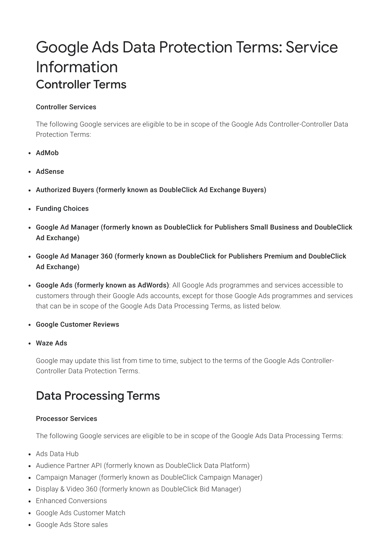# Google Ads Data Protection Terms: Service Information Controller Terms

#### Controller Services

The following Google services are eligible to be in scope of the Google Ads Controller-Controller Data Protection Terms:

- AdMob
- AdSense
- Authorized Buyers (formerly known as DoubleClick Ad Exchange Buyers)
- Funding Choices
- Google Ad Manager (formerly known as DoubleClick for Publishers Small Business and DoubleClick Ad Exchange)
- Google Ad Manager 360 (formerly known as DoubleClick for Publishers Premium and DoubleClick Ad Exchange)
- Google Ads (formerly known as AdWords): All Google Ads programmes and services accessible to customers through their Google Ads accounts, except for those Google Ads programmes and services that can be in scope of the Google Ads Data Processing Terms, as listed below.
- Google Customer Reviews
- Waze Ads

Google may update this list from time to time, subject to the terms of the Google Ads Controller-Controller Data Protection Terms.

## Data Processing Terms

#### Processor Services

The following Google services are eligible to be in scope of the Google Ads Data Processing Terms:

- Ads Data Hub
- Audience Partner API (formerly known as DoubleClick Data Platform)
- Campaign Manager (formerly known as DoubleClick Campaign Manager)
- Display & Video 360 (formerly known as DoubleClick Bid Manager)
- Enhanced Conversions
- Google Ads Customer Match
- Google Ads Store sales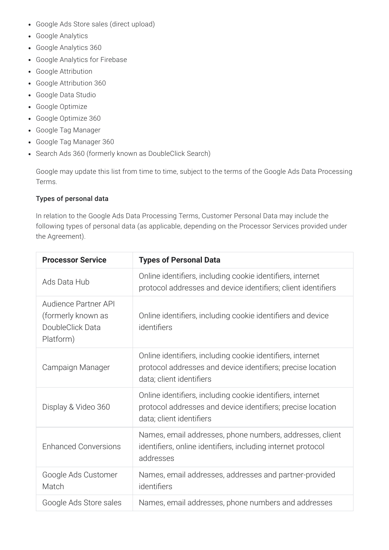- Google Ads Store sales (direct upload)
- Google Analytics
- Google Analytics 360
- Google Analytics for Firebase
- Google Attribution
- Google Attribution 360
- Google Data Studio
- Google Optimize
- Google Optimize 360
- Google Tag Manager
- Google Tag Manager 360
- Search Ads 360 (formerly known as DoubleClick Search)

Google may update this list from time to time, subject to the terms of the Google Ads Data Processing Terms.

#### Types of personal data

In relation to the Google Ads Data Processing Terms, Customer Personal Data may include the following types of personal data (as applicable, depending on the Processor Services provided under the Agreement).

| <b>Processor Service</b>                                                    | <b>Types of Personal Data</b>                                                                                                                         |
|-----------------------------------------------------------------------------|-------------------------------------------------------------------------------------------------------------------------------------------------------|
| Ads Data Hub                                                                | Online identifiers, including cookie identifiers, internet<br>protocol addresses and device identifiers; client identifiers                           |
| Audience Partner API<br>(formerly known as<br>DoubleClick Data<br>Platform) | Online identifiers, including cookie identifiers and device<br>identifiers                                                                            |
| Campaign Manager                                                            | Online identifiers, including cookie identifiers, internet<br>protocol addresses and device identifiers; precise location<br>data; client identifiers |
| Display & Video 360                                                         | Online identifiers, including cookie identifiers, internet<br>protocol addresses and device identifiers; precise location<br>data; client identifiers |
| <b>Enhanced Conversions</b>                                                 | Names, email addresses, phone numbers, addresses, client<br>identifiers, online identifiers, including internet protocol<br>addresses                 |
| Google Ads Customer<br>Match                                                | Names, email addresses, addresses and partner-provided<br>identifiers                                                                                 |
| Google Ads Store sales                                                      | Names, email addresses, phone numbers and addresses                                                                                                   |